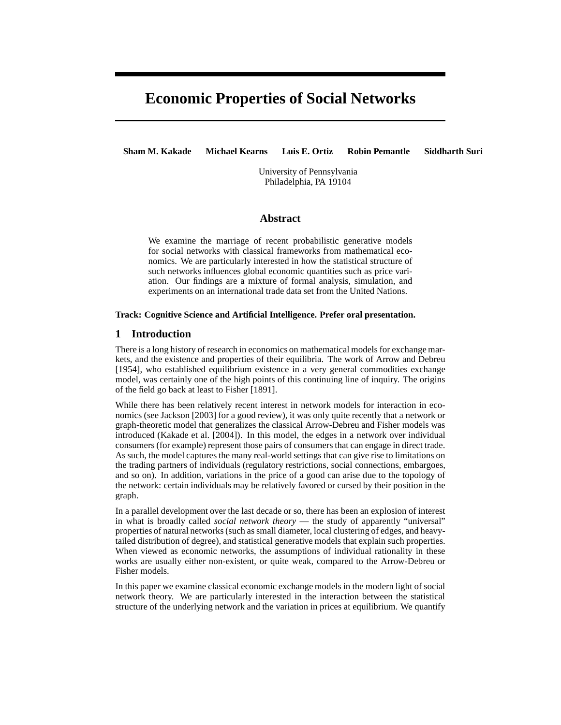# **Economic Properties of Social Networks**

**Sham M. Kakade Michael Kearns Luis E. Ortiz Robin Pemantle Siddharth Suri**

University of Pennsylvania Philadelphia, PA 19104

### **Abstract**

We examine the marriage of recent probabilistic generative models for social networks with classical frameworks from mathematical economics. We are particularly interested in how the statistical structure of such networks influences global economic quantities such as price variation. Our findings are a mixture of formal analysis, simulation, and experiments on an international trade data set from the United Nations.

#### **Track: Cognitive Science and Artificial Intelligence. Prefer oral presentation.**

# **1 Introduction**

There is a long history of research in economics on mathematical models for exchange markets, and the existence and properties of their equilibria. The work of Arrow and Debreu [1954], who established equilibrium existence in a very general commodities exchange model, was certainly one of the high points of this continuing line of inquiry. The origins of the field go back at least to Fisher [1891].

While there has been relatively recent interest in network models for interaction in economics (see Jackson [2003] for a good review), it was only quite recently that a network or graph-theoretic model that generalizes the classical Arrow-Debreu and Fisher models was introduced (Kakade et al. [2004]). In this model, the edges in a network over individual consumers (for example) represent those pairs of consumersthat can engage in direct trade. As such, the model captures the many real-world settings that can give rise to limitations on the trading partners of individuals (regulatory restrictions, social connections, embargoes, and so on). In addition, variations in the price of a good can arise due to the topology of the network: certain individuals may be relatively favored or cursed by their position in the graph.

In a parallel development over the last decade or so, there has been an explosion of interest in what is broadly called *social network theory* — the study of apparently "universal" properties of natural networks (such as small diameter, local clustering of edges, and heavytailed distribution of degree), and statistical generative models that explain such properties. When viewed as economic networks, the assumptions of individual rationality in these works are usually either non-existent, or quite weak, compared to the Arrow-Debreu or Fisher models.

In this paper we examine classical economic exchange models in the modern light of social network theory. We are particularly interested in the interaction between the statistical structure of the underlying network and the variation in prices at equilibrium. We quantify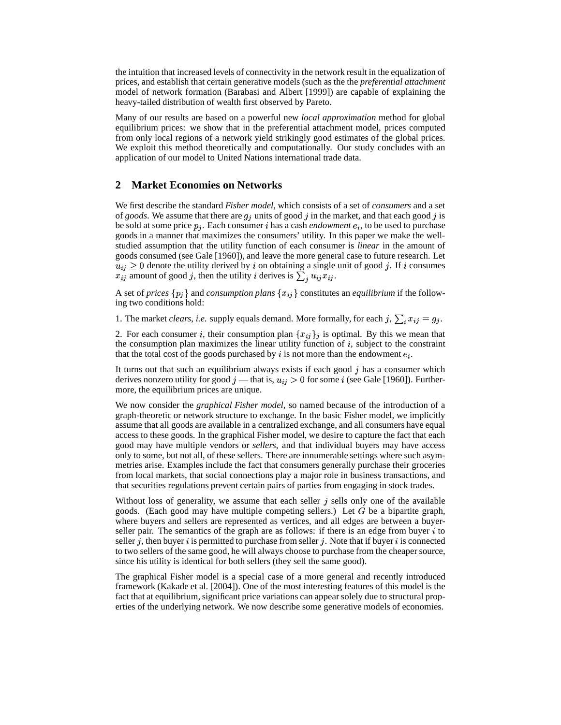the intuition that increased levels of connectivity in the network result in the equalization of prices, and establish that certain generative models (such as the the *preferential attachment* model of network formation (Barabasi and Albert [1999]) are capable of explaining the heavy-tailed distribution of wealth first observed by Pareto.

Many of our results are based on a powerful new *local approximation* method for global equilibrium prices: we show that in the preferential attachment model, prices computed from only local regions of a network yield strikingly good estimates of the global prices. We exploit this method theoretically and computationally. Our study concludes with an application of our model to United Nations international trade data.

#### **2 Market Economies on Networks**

We first describe the standard *Fisher model*, which consists of a set of *consumers* and a set of *goods*. We assume that there are  $g_i$  units of good j in the market, and that each good j is be sold at some price  $p_i$ . Each consumer *i* has a cash *endowment*  $e_i$ , to be used to purchase goods in a manner that maximizes the consumers' utility. In this paper we make the wellstudied assumption that the utility function of each consumer is *linear* in the amount of goods consumed (see Gale [1960]), and leave the more general case to future research. Let  $u_{ij} \geq 0$  denote the utility derived by i on obtaining a single unit of good j. If i consumes  $x_{ij}$  amount of good j, then the utility i derives is  $\sum_i u_{ij} x_{ij}$ .

A set of *prices*  $\{p_j\}$  and *consumption plans*  $\{x_{ij}\}$  constitutes an *equilibrium* if the following two conditions hold:

1. The market *clears*, *i.e.* supply equals demand. More formally, for each j,  $\sum_i x_{ij} = g_i$ .

2. For each consumer i, their consumption plan  $\{x_{ij}\}_j$  is optimal. By this we mean that the consumption plan maximizes the linear utility function of  $i$ , subject to the constraint that the total cost of the goods purchased by i is not more than the endowment  $e_i$ .

It turns out that such an equilibrium always exists if each good  $j$  has a consumer which derives nonzero utility for good  $j$  — that is,  $u_{ij} > 0$  for some i (see Gale [1960]). Furthermore, the equilibrium prices are unique.

We now consider the *graphical Fisher model*, so named because of the introduction of a graph-theoretic or network structure to exchange. In the basic Fisher model, we implicitly assume that all goods are available in a centralized exchange, and all consumers have equal access to these goods. In the graphical Fisher model, we desire to capture the fact that each good may have multiple vendors or *sellers*, and that individual buyers may have access only to some, but not all, of these sellers. There are innumerable settings where such asymmetries arise. Examples include the fact that consumers generally purchase their groceries from local markets, that social connections play a major role in business transactions, and that securities regulations prevent certain pairs of parties from engaging in stock trades.

Without loss of generality, we assume that each seller  $j$  sells only one of the available goods. (Each good may have multiple competing sellers.) Let  $G$  be a bipartite graph, where buyers and sellers are represented as vertices, and all edges are between a buyerseller pair. The semantics of the graph are as follows: if there is an edge from buyer  $i$  to seller  $j$ , then buyer  $i$  is permitted to purchase from seller  $j$ . Note that if buyer  $i$  is connected to two sellers of the same good, he will always choose to purchase from the cheaper source, since his utility is identical for both sellers (they sell the same good).

The graphical Fisher model is a special case of a more general and recently introduced framework (Kakade et al. [2004]). One of the most interesting features of this model is the fact that at equilibrium, significant price variations can appear solely due to structural properties of the underlying network. We now describe some generative models of economies.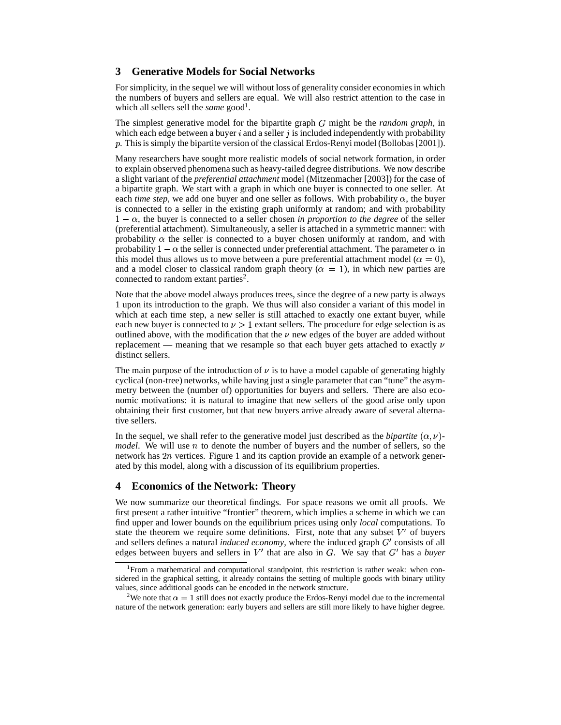## **3 Generative Models for Social Networks**

For simplicity, in the sequel we will without loss of generality consider economies in which the numbers of buyers and sellers are equal. We will also restrict attention to the case in which all sellers sell the *same* good<sup>1</sup>.

The simplest generative model for the bipartite graph  $G$  might be the *random graph*, in which each edge between a buyer  $i$  and a seller  $j$  is included independently with probability . This is simply the bipartite version of the classical Erdos-Renyi model (Bollobas [2001]).

Many researchers have sought more realistic models of social network formation, in order to explain observed phenomena such as heavy-tailed degree distributions. We now describe a slight variant of the *preferential attachment* model (Mitzenmacher [2003]) for the case of a bipartite graph. We start with a graph in which one buyer is connected to one seller. At each *time step*, we add one buyer and one seller as follows. With probability  $\alpha$ , the buyer is connected to a seller in the existing graph uniformly at random; and with probability  $1 - \alpha$ , the buyer is connected to a seller chosen *in proportion to the degree* of the seller (preferential attachment). Simultaneously, a seller is attached in a symmetric manner: with probability  $\alpha$  the seller is connected to a buyer chosen uniformly at random, and with probability  $1 - \alpha$  the seller is connected under preferential attachment. The parameter  $\alpha$  in this model thus allows us to move between a pure preferential attachment model ( $\alpha = 0$ ), and a model closer to classical random graph theory ( $\alpha = 1$ ), in which new parties are connected to random extant parties<sup>2</sup>.

Note that the above model always produces trees, since the degree of a new party is always 1 upon its introduction to the graph. We thus will also consider a variant of this model in which at each time step, a new seller is still attached to exactly one extant buyer, while each new buyer is connected to  $\nu > 1$  extant sellers. The procedure for edge selection is as outlined above, with the modification that the  $\nu$  new edges of the buyer are added without replacement — meaning that we resample so that each buyer gets attached to exactly  $\nu$ distinct sellers.

The main purpose of the introduction of  $\nu$  is to have a model capable of generating highly cyclical (non-tree) networks, while having just a single parameter that can "tune" the asymmetry between the (number of) opportunities for buyers and sellers. There are also economic motivations: it is natural to imagine that new sellers of the good arise only upon obtaining their first customer, but that new buyers arrive already aware of several alternative sellers.

In the sequel, we shall refer to the generative model just described as the *bipartite*  $(\alpha, \nu)$ *model*. We will use  $n$  to denote the number of buyers and the number of sellers, so the network has  $2n$  vertices. Figure 1 and its caption provide an example of a network generated by this model, along with a discussion of its equilibrium properties.

### **4 Economics of the Network: Theory**

We now summarize our theoretical findings. For space reasons we omit all proofs. We first present a rather intuitive "frontier" theorem, which implies a scheme in which we can find upper and lower bounds on the equilibrium prices using only *local* computations. To state the theorem we require some definitions. First, note that any subset  $V'$  of buyers and sellers defines a natural *induced economy*, where the induced graph G' consists of all edges between buyers and sellers in  $V'$  that are also in  $G$ . We say that  $G'$  has a *buyer* 

<sup>&</sup>lt;sup>1</sup>From a mathematical and computational standpoint, this restriction is rather weak: when considered in the graphical setting, it already contains the setting of multiple goods with binary utility values, since additional goods can be encoded in the network structure.

<sup>&</sup>lt;sup>2</sup>We note that  $\alpha = 1$  still does not exactly produce the Erdos-Renyi model due to the incremental nature of the network generation: early buyers and sellers are still more likely to have higher degree.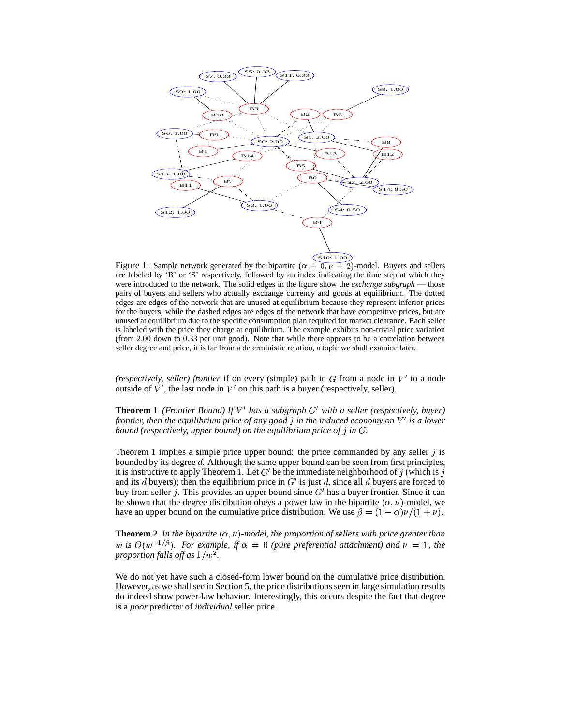

Figure 1: Sample network generated by the bipartite  $(\alpha = 0, \nu = 2)$ -model. Buyers and sellers are labeled by 'B' or 'S' respectively, followed by an index indicating the time step at which they were introduced to the network. The solid edges in the figure show the *exchange subgraph* — those pairs of buyers and sellers who actually exchange currency and goods at equilibrium. The dotted edges are edges of the network that are unused at equilibrium because they represent inferior prices for the buyers, while the dashed edges are edges of the network that have competitive prices, but are unused at equilibrium due to the specific consumption plan required for market clearance. Each seller is labeled with the price they charge at equilibrium. The example exhibits non-trivial price variation (from 2.00 down to 0.33 per unit good). Note that while there appears to be a correlation between seller degree and price, it is far from a deterministic relation, a topic we shall examine later.

*(respectively, seller) frontier* if on every (simple) path in  $G$  from a node in  $V'$  to a node outside of  $V'$ , the last node in  $V'$  on this path is a buyer (respectively, seller).

**Theorem 1** *(Frontier Bound) If*  $V'$  has a subgraph  $G'$  with a seller (respectively, buyer) frontier, then the equilibrium price of any good  $j$  in the induced economy on  $V'$  is a lower bound (respectively, upper bound) on the equilibrium price of  $j$  in  $G$ .

Theorem 1 implies a simple price upper bound: the price commanded by any seller  $j$  is bounded by its degree  $d$ . Although the same upper bound can be seen from first principles, it is instructive to apply Theorem 1. Let  $G'$  be the immediate neighborhood of j (which is j and its d buyers); then the equilibrium price in  $G'$  is just d, since all d buyers are forced to buy from seller j. This provides an upper bound since  $G'$  has a buyer frontier. Since it can be shown that the degree distribution obeys a power law in the bipartite  $(\alpha, \nu)$ -model, we have an upper bound on the cumulative price distribution. We use  $\beta = (1 - \alpha)\nu/(1 + \nu)$ .

**Theorem 2** In the bipartite  $(\alpha, \nu)$ -model, the proportion of sellers with price greater than *w* is  $O(w^{-1/\beta})$ . For example, if  $\alpha = 0$  (pure preferential attachment) and  $\nu = 1$ , the proportion falls off as  $1/w^2$ .

We do not yet have such a closed-form lower bound on the cumulative price distribution. However, as we shall see in Section 5, the price distributions seen in large simulation results do indeed show power-law behavior. Interestingly, this occurs despite the fact that degree is a *poor* predictor of *individual* seller price.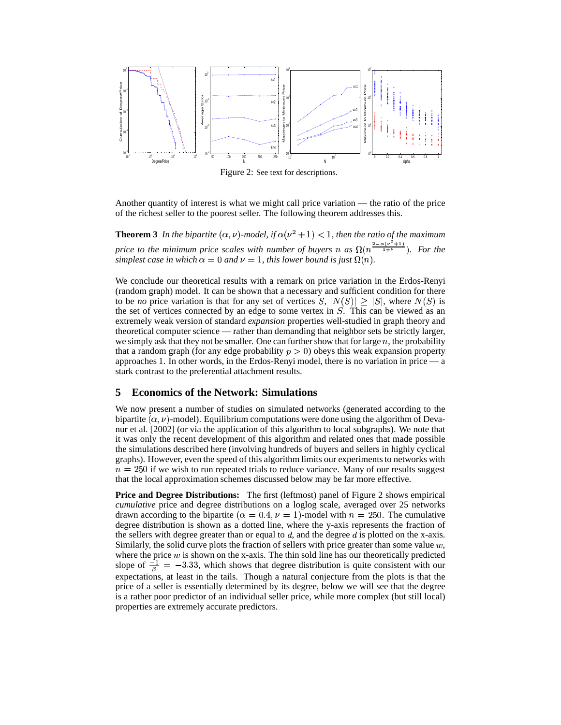

Figure 2: See text for descriptions.

Another quantity of interest is what we might call price variation — the ratio of the price of the richest seller to the poorest seller. The following theorem addresses this.

**Theorem 3** In the bipartite  $(\alpha, \nu)$ -model, if  $\alpha(\nu^2 + 1) < 1$ , then the ratio of the maximum *price to the minimum price scales with number of buyers n* as  $\Omega(n^{\frac{2-\alpha(\nu^2+1)}{1+\nu}})$ *. For the simplest case in which*  $\alpha = 0$  *and*  $\nu = 1$ *, this lower bound is just*  $\Omega(n)$ *.* 

We conclude our theoretical results with a remark on price variation in the Erdos-Renyi (random graph) model. It can be shown that a necessary and sufficient condition for there to be *no* price variation is that for any set of vertices  $S, |N(S)| \geq |S|$ , where  $N(S)$  is the set of vertices connected by an edge to some vertex in  $S$ . This can be viewed as an extremely weak version of standard *expansion* properties well-studied in graph theory and theoretical computer science — rather than demanding that neighbor sets be strictly larger, we simply ask that they not be smaller. One can further show that for large  $n$ , the probability that a random graph (for any edge probability  $p > 0$ ) obeys this weak expansion property approaches 1. In other words, in the Erdos-Renyi model, there is no variation in price — a stark contrast to the preferential attachment results.

# **5 Economics of the Network: Simulations**

We now present a number of studies on simulated networks (generated according to the bipartite  $(\alpha, \nu)$ -model). Equilibrium computations were done using the algorithm of Devanur et al. [2002] (or via the application of this algorithm to local subgraphs). We note that it was only the recent development of this algorithm and related ones that made possible the simulations described here (involving hundreds of buyers and sellers in highly cyclical graphs). However, even the speed of this algorithm limits our experiments to networks with  $n = 250$  if we wish to run repeated trials to reduce variance. Many of our results suggest that the local approximation schemes discussed below may be far more effective.

**Price and Degree Distributions:** The first (leftmost) panel of Figure 2 shows empirical *cumulative* price and degree distributions on a loglog scale, averaged over 25 networks drawn according to the bipartite  $(\alpha = 0.4, \nu = 1)$ -model with  $n = 250$ . The cumulative degree distribution is shown as a dotted line, where the y-axis represents the fraction of the sellers with degree greater than or equal to  $d$ , and the degree  $d$  is plotted on the x-axis. Similarly, the solid curve plots the fraction of sellers with price greater than some value  $w$ , where the price  $w$  is shown on the x-axis. The thin sold line has our theoretically predicted slope of  $\frac{-1}{6}$  = -3.33, which shows that degree distribution is quite consistent with our expectations, at least in the tails. Though a natural conjecture from the plots is that the price of a seller is essentially determined by its degree, below we will see that the degree is a rather poor predictor of an individual seller price, while more complex (but still local) properties are extremely accurate predictors.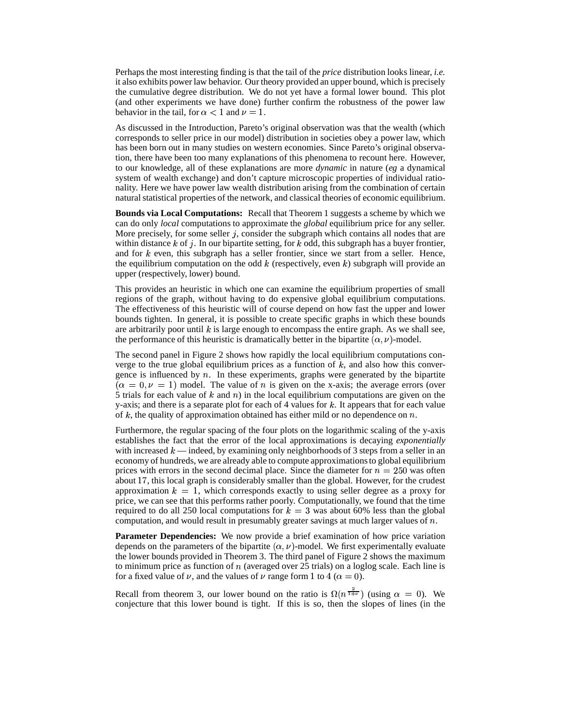Perhaps the most interesting finding is that the tail of the *price* distribution looks linear, *i.e.* it also exhibits power law behavior. Our theory provided an upper bound, which is precisely the cumulative degree distribution. We do not yet have a formal lower bound. This plot (and other experiments we have done) further confirm the robustness of the power law behavior in the tail, for  $\alpha < 1$  and  $\nu = 1$ .

As discussed in the Introduction, Pareto's original observation was that the wealth (which corresponds to seller price in our model) distribution in societies obey a power law, which has been born out in many studies on western economies. Since Pareto's original observation, there have been too many explanations of this phenomena to recount here. However, to our knowledge, all of these explanations are more *dynamic* in nature (*eg* a dynamical system of wealth exchange) and don't capture microscopic properties of individual rationality. Here we have power law wealth distribution arising from the combination of certain natural statistical properties of the network, and classical theories of economic equilibrium.

**Bounds via Local Computations:** Recall that Theorem 1 suggests a scheme by which we can do only *local* computations to approximate the *global* equilibrium price for any seller. More precisely, for some seller  $j$ , consider the subgraph which contains all nodes that are within distance k of j. In our bipartite setting, for k odd, this subgraph has a buyer frontier, and for  $k$  even, this subgraph has a seller frontier, since we start from a seller. Hence, the equilibrium computation on the odd  $k$  (respectively, even  $k$ ) subgraph will provide an upper (respectively, lower) bound.

This provides an heuristic in which one can examine the equilibrium properties of small regions of the graph, without having to do expensive global equilibrium computations. The effectiveness of this heuristic will of course depend on how fast the upper and lower bounds tighten. In general, it is possible to create specific graphs in which these bounds are arbitrarily poor until  $k$  is large enough to encompass the entire graph. As we shall see, the performance of this heuristic is dramatically better in the bipartite  $(\alpha, \nu)$ -model.

The second panel in Figure 2 shows how rapidly the local equilibrium computations converge to the true global equilibrium prices as a function of  $k$ , and also how this convergence is influenced by  $n$ . In these experiments, graphs were generated by the bipartite  $(\alpha = 0, \nu = 1)$  model. The value of *n* is given on the x-axis; the average errors (over 5 trials for each value of  $k$  and  $n)$  in the local equilibrium computations are given on the y-axis; and there is a separate plot for each of 4 values for  $k$ . It appears that for each value of  $k$ , the quality of approximation obtained has either mild or no dependence on  $n$ .

Furthermore, the regular spacing of the four plots on the logarithmic scaling of the y-axis establishes the fact that the error of the local approximations is decaying *exponentially* with increased  $k$  — indeed, by examining only neighborhoods of 3 steps from a seller in an economy of hundreds, we are already able to compute approximations to global equilibrium prices with errors in the second decimal place. Since the diameter for  $n = 250$  was often about 17, this local graph is considerably smaller than the global. However, for the crudest approximation  $k = 1$ , which corresponds exactly to using seller degree as a proxy for price, we can see that this performs rather poorly. Computationally, we found that the time required to do all 250 local computations for  $k = 3$  was about 60% less than the global computation, and would result in presumably greater savings at much larger values of  $n$ .

**Parameter Dependencies:** We now provide a brief examination of how price variation depends on the parameters of the bipartite  $(\alpha, \nu)$ -model. We first experimentally evaluate the lower bounds provided in Theorem 3. The third panel of Figure 2 shows the maximum to minimum price as function of  $n$  (averaged over 25 trials) on a loglog scale. Each line is for a fixed value of  $\nu$ , and the values of  $\nu$  range form 1 to 4 ( $\alpha = 0$ ).

Recall from theorem 3, our lower bound on the ratio is  $\Omega(n^{\frac{3}{1+\nu}})$  (using  $\alpha = 0$ ). We conjecture that this lower bound is tight. If this is so, then the slopes of lines (in the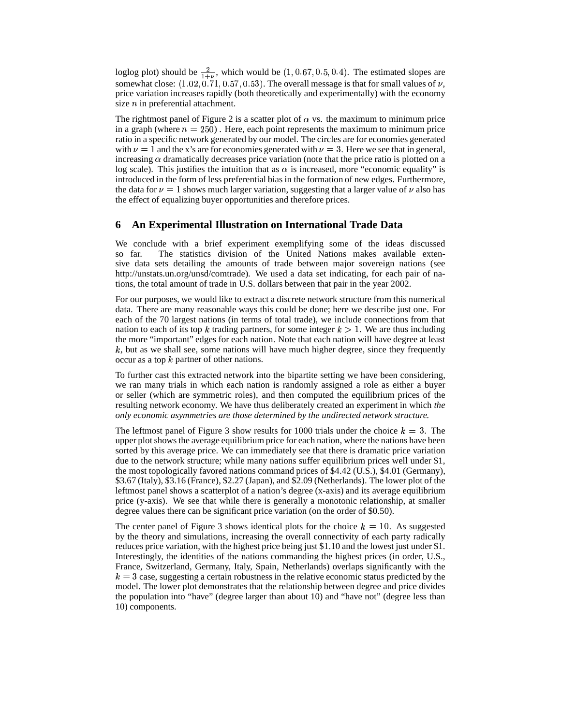loglog plot) should be  $\frac{2}{1+\nu}$ , which would be  $(1, 0.67, 0.5, 0.4)$ . The estimated slopes are somewhat close:  $(1.02, 0.71, 0.57, 0.53)$ . The overall message is that for small values of  $\nu$ , price variation increases rapidly (both theoretically and experimentally) with the economy size  $n$  in preferential attachment.

The rightmost panel of Figure 2 is a scatter plot of  $\alpha$  vs. the maximum to minimum price in a graph (where  $n = 250$ ). Here, each point represents the maximum to minimum price ratio in a specific network generated by our model. The circles are for economies generated with  $\nu = 1$  and the x's are for economies generated with  $\nu = 3$ . Here we see that in general, increasing  $\alpha$  dramatically decreases price variation (note that the price ratio is plotted on a log scale). This justifies the intuition that as  $\alpha$  is increased, more "economic equality" is introduced in the form of less preferential bias in the formation of new edges. Furthermore, the data for  $\nu = 1$  shows much larger variation, suggesting that a larger value of  $\nu$  also has the effect of equalizing buyer opportunities and therefore prices.

# **6 An Experimental Illustration on International Trade Data**

We conclude with a brief experiment exemplifying some of the ideas discussed so far. The statistics division of the United Nations makes available extensive data sets detailing the amounts of trade between major sovereign nations (see http://unstats.un.org/unsd/comtrade). We used a data set indicating, for each pair of nations, the total amount of trade in U.S. dollars between that pair in the year 2002.

For our purposes, we would like to extract a discrete network structure from this numerical data. There are many reasonable ways this could be done; here we describe just one. For each of the 70 largest nations (in terms of total trade), we include connections from that nation to each of its top k trading partners, for some integer  $k > 1$ . We are thus including the more "important" edges for each nation. Note that each nation will have degree at least  $k$ , but as we shall see, some nations will have much higher degree, since they frequently occur as a top  $k$  partner of other nations.

To further cast this extracted network into the bipartite setting we have been considering, we ran many trials in which each nation is randomly assigned a role as either a buyer or seller (which are symmetric roles), and then computed the equilibrium prices of the resulting network economy. We have thus deliberately created an experiment in which *the only economic asymmetries are those determined by the undirected network structure.*

The leftmost panel of Figure 3 show results for 1000 trials under the choice  $k = 3$ . The upper plot shows the average equilibrium price for each nation, where the nations have been sorted by this average price. We can immediately see that there is dramatic price variation due to the network structure; while many nations suffer equilibrium prices well under \$1, the most topologically favored nations command prices of \$4.42 (U.S.), \$4.01 (Germany), \$3.67 (Italy), \$3.16 (France), \$2.27 (Japan), and \$2.09 (Netherlands). The lower plot of the leftmost panel shows a scatterplot of a nation's degree (x-axis) and its average equilibrium price (y-axis). We see that while there is generally a monotonic relationship, at smaller degree values there can be significant price variation (on the order of \$0.50).

The center panel of Figure 3 shows identical plots for the choice  $k = 10$ . As suggested by the theory and simulations, increasing the overall connectivity of each party radically reduces price variation, with the highest price being just \$1.10 and the lowest just under \$1. Interestingly, the identities of the nations commanding the highest prices (in order, U.S., France, Switzerland, Germany, Italy, Spain, Netherlands) overlaps significantly with the  $k=3$  case, suggesting a certain robustness in the relative economic status predicted by the model. The lower plot demonstrates that the relationship between degree and price divides the population into "have" (degree larger than about 10) and "have not" (degree less than 10) components.